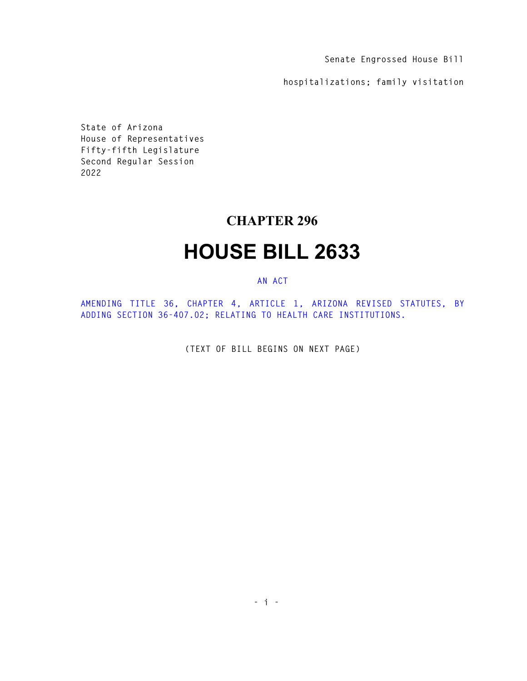**Senate Engrossed House Bill** 

**hospitalizations; family visitation** 

**State of Arizona House of Representatives Fifty-fifth Legislature Second Regular Session 2022** 

## **CHAPTER 296**

## **HOUSE BILL 2633**

## **AN ACT**

**AMENDING TITLE 36, CHAPTER 4, ARTICLE 1, ARIZONA REVISED STATUTES, BY ADDING SECTION 36-407.02; RELATING TO HEALTH CARE INSTITUTIONS.** 

**(TEXT OF BILL BEGINS ON NEXT PAGE)**